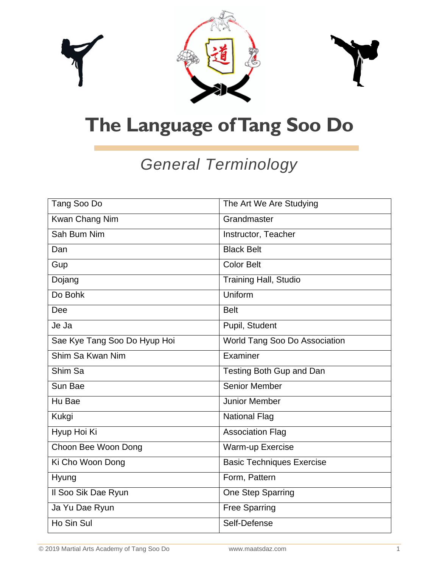

| Tang Soo Do                  | The Art We Are Studying          |
|------------------------------|----------------------------------|
| Kwan Chang Nim               | Grandmaster                      |
| Sah Bum Nim                  | Instructor, Teacher              |
| Dan                          | <b>Black Belt</b>                |
| Gup                          | Color Belt                       |
| Dojang                       | <b>Training Hall, Studio</b>     |
| Do Bohk                      | Uniform                          |
| Dee                          | <b>Belt</b>                      |
| Je Ja                        | Pupil, Student                   |
| Sae Kye Tang Soo Do Hyup Hoi | World Tang Soo Do Association    |
| Shim Sa Kwan Nim             | Examiner                         |
| Shim Sa                      | Testing Both Gup and Dan         |
| Sun Bae                      | <b>Senior Member</b>             |
| Hu Bae                       | Junior Member                    |
| Kukgi                        | <b>National Flag</b>             |
| Hyup Hoi Ki                  | <b>Association Flag</b>          |
| Choon Bee Woon Dong          | Warm-up Exercise                 |
| Ki Cho Woon Dong             | <b>Basic Techniques Exercise</b> |
| Hyung                        | Form, Pattern                    |
| Il Soo Sik Dae Ryun          | One Step Sparring                |
| Ja Yu Dae Ryun               | <b>Free Sparring</b>             |
| Ho Sin Sul                   | Self-Defense                     |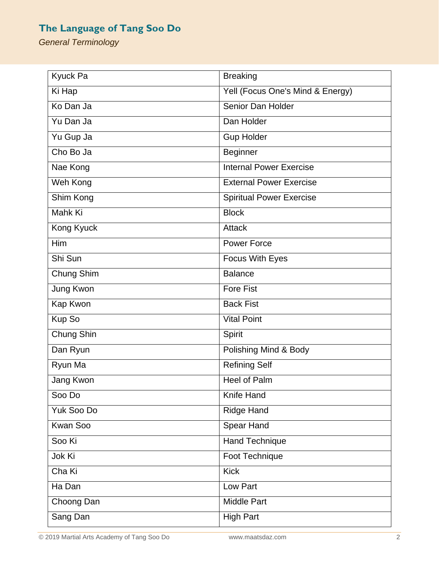| Kyuck Pa        | <b>Breaking</b>                  |
|-----------------|----------------------------------|
| Ki Hap          | Yell (Focus One's Mind & Energy) |
| Ko Dan Ja       | Senior Dan Holder                |
| Yu Dan Ja       | Dan Holder                       |
| Yu Gup Ja       | <b>Gup Holder</b>                |
| Cho Bo Ja       | <b>Beginner</b>                  |
| Nae Kong        | <b>Internal Power Exercise</b>   |
| Weh Kong        | <b>External Power Exercise</b>   |
| Shim Kong       | <b>Spiritual Power Exercise</b>  |
| Mahk Ki         | <b>Block</b>                     |
| Kong Kyuck      | <b>Attack</b>                    |
| <b>Him</b>      | <b>Power Force</b>               |
| Shi Sun         | Focus With Eyes                  |
| Chung Shim      | <b>Balance</b>                   |
| Jung Kwon       | <b>Fore Fist</b>                 |
| Kap Kwon        | <b>Back Fist</b>                 |
| Kup So          | <b>Vital Point</b>               |
| Chung Shin      | Spirit                           |
| Dan Ryun        | Polishing Mind & Body            |
| Ryun Ma         | Refining Self                    |
| Jang Kwon       | Heel of Palm                     |
| Soo Do          | Knife Hand                       |
| Yuk Soo Do      | <b>Ridge Hand</b>                |
| <b>Kwan Soo</b> | Spear Hand                       |
| Soo Ki          | Hand Technique                   |
| Jok Ki          | Foot Technique                   |
| Cha Ki          | <b>Kick</b>                      |
| Ha Dan          | Low Part                         |
| Choong Dan      | <b>Middle Part</b>               |
| Sang Dan        | <b>High Part</b>                 |